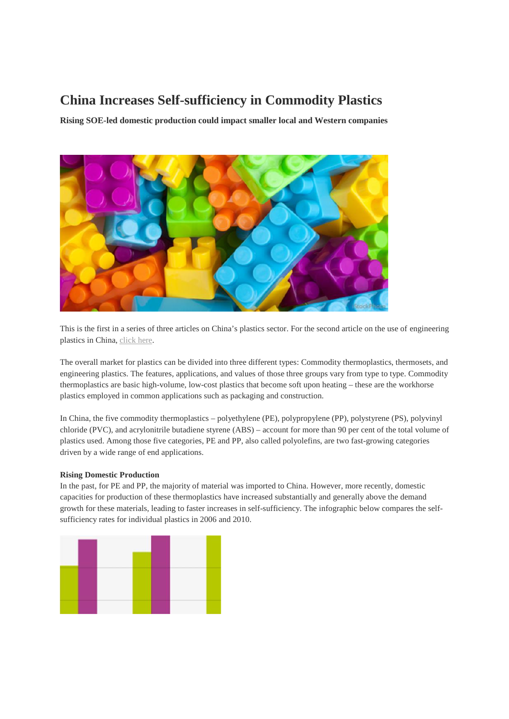# **China Increases Self-sufficiency in Commodity Plastics**

**Rising SOE-led domestic production could impact smaller local and Western companies**



This is the first in a series of three articles on China's plastics sector. For the second article on the use of engineering plastics in China, click here.

The overall market for plastics can be divided into three different types: Commodity thermoplastics, thermosets, and engineering plastics. The features, applications, and values of those three groups vary from type to type. Commodity thermoplastics are basic high-volume, low-cost plastics that become soft upon heating – these are the workhorse plastics employed in common applications such as packaging and construction.

In China, the five commodity thermoplastics – polyethylene (PE), polypropylene (PP), polystyrene (PS), polyvinyl chloride (PVC), and acrylonitrile butadiene styrene (ABS) – account for more than 90 per cent of the total volume of plastics used. Among those five categories, PE and PP, also called polyolefins, are two fast-growing categories driven by a wide range of end applications.

# **Rising Domestic Production**

In the past, for PE and PP, the majority of material was imported to China. However, more recently, domestic capacities for production of these thermoplastics have increased substantially and generally above the demand growth for these materials, leading to faster increases in self-sufficiency. The infographic below compares the self sufficiency rates for individual plastics in 2006 and 2010.

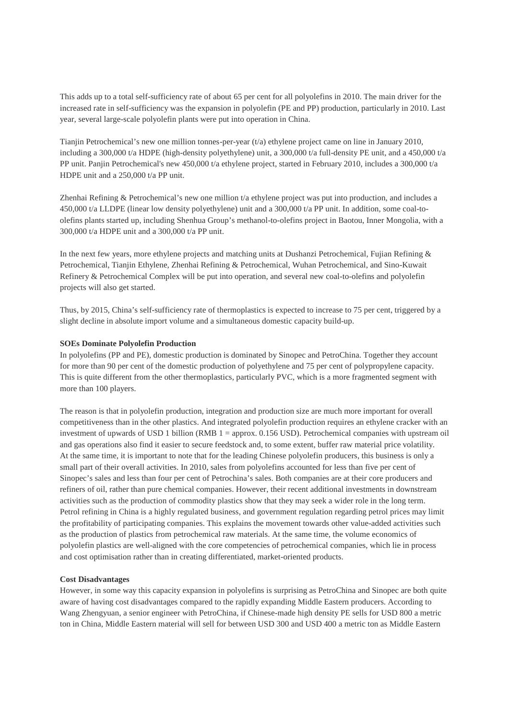This adds up to a total self-sufficiency rate of about 65 per cent for all polyolefins in 2010. The main driver for the increased rate in self-sufficiency was the expansion in polyolefin (PE and PP) production, particularly in 2010. Last year, several large-scale polyolefin plants were put into operation in China.

Tianjin Petrochemical's new one million tonnes-per-year (t/a) ethylene project came on line in January 2010, including a 300,000 t/a HDPE (high-density polyethylene) unit, a 300,000 t/a full-density PE unit, and a 450,000 t/a PP unit. Panjin Petrochemical's new 450,000 t/a ethylene project, started in February 2010, includes a 300,000 t/a HDPE unit and a 250,000 t/a PP unit.

Zhenhai Refining & Petrochemical's new one million t/a ethylene project was put into production, and includes a 450,000 t/a LLDPE (linear low density polyethylene) unit and a 300,000 t/a PP unit. In addition, some coal-to olefins plants started up, including Shenhua Group's methanol-to-olefins project in Baotou, Inner Mongolia, with a 300,000 t/a HDPE unit and a 300,000 t/a PP unit.

In the next few years, more ethylene projects and matching units at Dushanzi Petrochemical, Fujian Refining & Petrochemical, Tianjin Ethylene, Zhenhai Refining & Petrochemical, Wuhan Petrochemical, and Sino-Kuwait Refinery & Petrochemical Complex will be put into operation, and several new coal-to-olefins and polyolefin projects will also get started.

Thus, by 2015, China's self-sufficiency rate of thermoplastics is expected to increase to 75 per cent, triggered by a slight decline in absolute import volume and a simultaneous domestic capacity build-up.

# **SOEs Dominate Polyolefin Production**

In polyolefins (PP and PE), domestic production is dominated by Sinopec and PetroChina. Together they account for more than 90 per cent of the domestic production of polyethylene and 75 per cent of polypropylene capacity. This is quite different from the other thermoplastics, particularly PVC, which is a more fragmented segment with more than 100 players.

The reason is that in polyolefin production, integration and production size are much more important for overall competitiveness than in the other plastics. And integrated polyolefin production requires an ethylene cracker with an investment of upwards of USD 1 billion (RMB 1 = approx. 0.156 USD). Petrochemical companies with upstream oil and gas operations also find it easier to secure feedstock and, to some extent, buffer raw material price volatility. At the same time, it is important to note that for the leading Chinese polyolefin producers, this business is only a small part of their overall activities. In 2010, sales from polyolefins accounted for less than five per cent of Sinopec's sales and less than four per cent of Petrochina's sales. Both companies are at their core producers and refiners of oil, rather than pure chemical companies. However, their recent additional investments in downstream activities such as the production of commodity plastics show that they may seek a wider role in the long term. Petrol refining in China is a highly regulated business, and government regulation regarding petrol prices may limit the profitability of participating companies. This explains the movement towards other value-added activities such as the production of plastics from petrochemical raw materials. At the same time, the volume economics of polyolefin plastics are well-aligned with the core competencies of petrochemical companies, which lie in process and cost optimisation rather than in creating differentiated, market-oriented products.

# **Cost Disadvantages**

However, in some way this capacity expansion in polyolefins is surprising as PetroChina and Sinopec are both quite aware of having cost disadvantages compared to the rapidly expanding Middle Eastern producers. According to Wang Zhengyuan, a senior engineer with PetroChina, if Chinese-made high density PE sells for USD 800 a metric ton in China, Middle Eastern material will sell for between USD 300 and USD 400 a metric ton as Middle Eastern